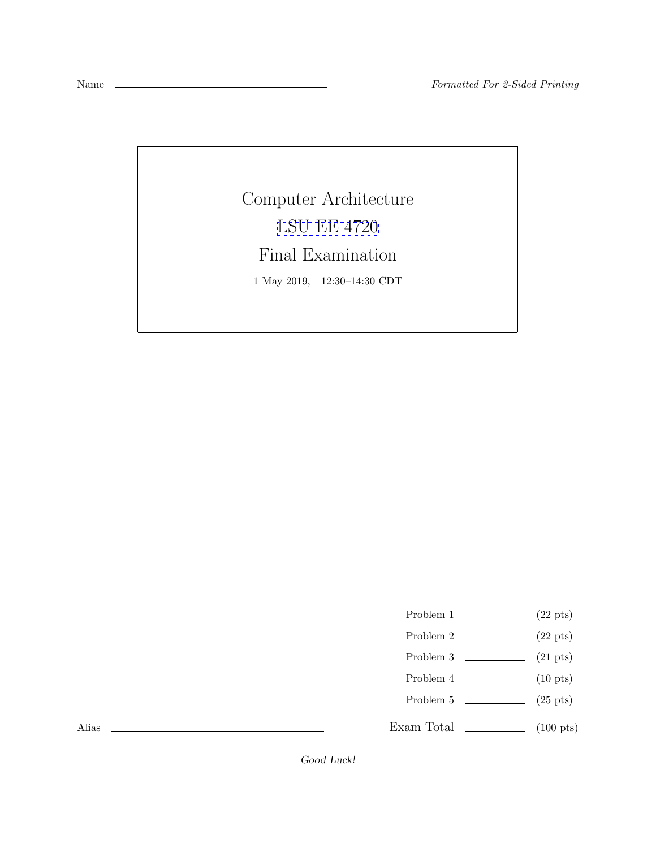Computer Architecture [LSU EE 4720](https://www.ece.lsu.edu/ee4720/) Final Examination 1 May 2019, 12:30–14:30 CDT

Problem 1  $\qquad \qquad$  (22 pts)

- Problem 2  $\qquad \qquad$  (22 pts)
- Problem 3  $\qquad \qquad (21 \text{ pts})$
- Problem 4  $\qquad \qquad$  (10 pts)
- Problem 5 (25 pts)
- Exam Total \_\_\_\_\_\_\_\_\_\_\_\_\_ (100 pts)

Alias

Good Luck!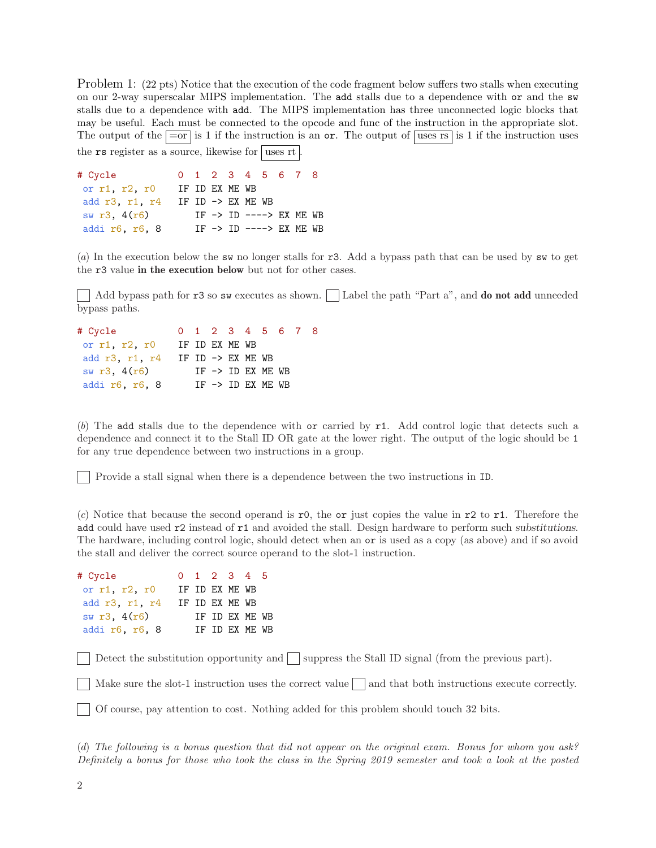Problem 1: (22 pts) Notice that the execution of the code fragment below suffers two stalls when executing on our 2-way superscalar MIPS implementation. The add stalls due to a dependence with or and the sw stalls due to a dependence with add. The MIPS implementation has three unconnected logic blocks that may be useful. Each must be connected to the opcode and func of the instruction in the appropriate slot. The output of the  $\equiv$ or is 1 if the instruction is an or. The output of uses rs is 1 if the instruction uses the rs register as a source, likewise for uses rt

| # Cycle                |  | 0 1 2 3 4 5 6 7 8                               |  |  |  |
|------------------------|--|-------------------------------------------------|--|--|--|
| or r1, r2, r0          |  | IF ID EX ME WB                                  |  |  |  |
| add $r3$ , $r1$ , $r4$ |  | IF ID $\rightarrow$ EX ME WB                    |  |  |  |
| sw $r3, 4(r6)$         |  | IF $\rightarrow$ ID $\rightarrow$ ---> EX ME WB |  |  |  |
| addi r6, r6, 8         |  | IF $\rightarrow$ ID $\rightarrow$ ---> EX ME WB |  |  |  |

(a) In the execution below the sw no longer stalls for r3. Add a bypass path that can be used by sw to get the r3 value in the execution below but not for other cases.

 $\Box$  Add bypass path for r3 so sw executes as shown.  $\Box$  Label the path "Part a", and **do not add** unneeded bypass paths.

| # Cycle                |  |                              | 0 1 2 3 4 5 6 7 8            |  |  |
|------------------------|--|------------------------------|------------------------------|--|--|
| or $r1$ , $r2$ , $r0$  |  | IF ID EX ME WB               |                              |  |  |
| add $r3$ , $r1$ , $r4$ |  | IF ID $\rightarrow$ EX ME WB |                              |  |  |
| sw $r3, 4(r6)$         |  |                              | IF $\rightarrow$ ID EX ME WB |  |  |
| addi r6, r6, 8         |  |                              | IF $\rightarrow$ ID EX ME WB |  |  |

(b) The add stalls due to the dependence with or carried by r1. Add control logic that detects such a dependence and connect it to the Stall ID OR gate at the lower right. The output of the logic should be 1 for any true dependence between two instructions in a group.

Provide a stall signal when there is a dependence between the two instructions in ID.

(c) Notice that because the second operand is  $\tau$ 0, the or just copies the value in  $\tau$ 2 to  $\tau$ 1. Therefore the add could have used r2 instead of r1 and avoided the stall. Design hardware to perform such substitutions. The hardware, including control logic, should detect when an or is used as a copy (as above) and if so avoid the stall and deliver the correct source operand to the slot-1 instruction.

| # Cycle               |  |                | $0 \t1 \t2 \t3 \t4 \t5$ |  |
|-----------------------|--|----------------|-------------------------|--|
| or $r1$ , $r2$ , $r0$ |  | IF ID EX ME WB |                         |  |
| add r3, r1, r4        |  | IF ID EX ME WB |                         |  |
| sw $r3, 4(r6)$        |  |                | IF ID EX ME WB          |  |
| addi r6, r6, 8        |  |                | TF TD FX MF. WB         |  |

Detect the substitution opportunity and  $\Box$  suppress the Stall ID signal (from the previous part).

Make sure the slot-1 instruction uses the correct value  $\Box$  and that both instructions execute correctly.

Of course, pay attention to cost. Nothing added for this problem should touch 32 bits.

(d) The following is a bonus question that did not appear on the original exam. Bonus for whom you ask? Definitely a bonus for those who took the class in the Spring 2019 semester and took a look at the posted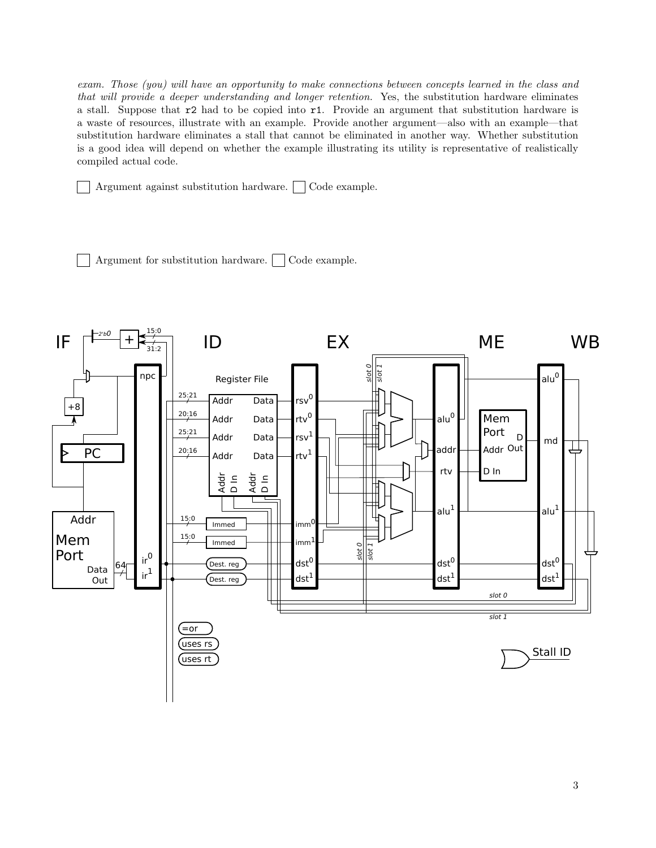exam. Those (you) will have an opportunity to make connections between concepts learned in the class and that will provide a deeper understanding and longer retention. Yes, the substitution hardware eliminates a stall. Suppose that r2 had to be copied into r1. Provide an argument that substitution hardware is a waste of resources, illustrate with an example. Provide another argument—also with an example—that substitution hardware eliminates a stall that cannot be eliminated in another way. Whether substitution is a good idea will depend on whether the example illustrating its utility is representative of realistically compiled actual code.

Argument against substitution hardware. Code example.





3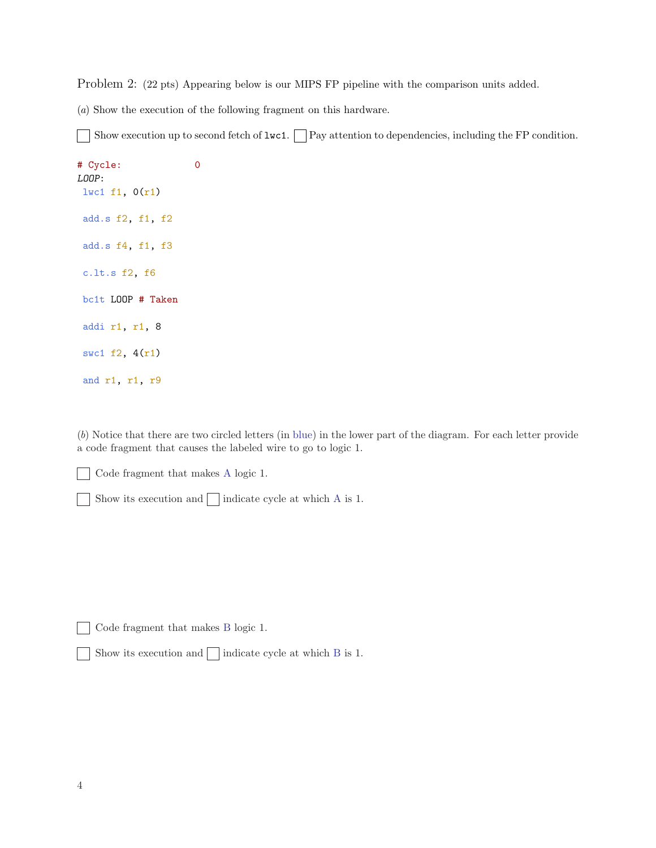Problem 2: (22 pts) Appearing below is our MIPS FP pipeline with the comparison units added.

(a) Show the execution of the following fragment on this hardware.

Show execution up to second fetch of  $\text{1wc1.}$  Pay attention to dependencies, including the FP condition.

# Cycle: 0 LOOP: lwc1 f1, 0(r1) add.s f2, f1, f2 add.s f4, f1, f3 c.lt.s f2, f6 bc1t LOOP # Taken addi r1, r1, 8 swc1 f2, 4(r1) and r1, r1, r9

(b) Notice that there are two circled letters (in blue) in the lower part of the diagram. For each letter provide a code fragment that causes the labeled wire to go to logic 1.

Code fragment that makes A logic 1.  $\mathcal{L}$ 

Show its execution and  $\Box$  indicate cycle at which A is 1.

Code fragment that makes B logic 1.  $\overline{\phantom{0}}$ 

Show its execution and  $\Box$  indicate cycle at which B is 1.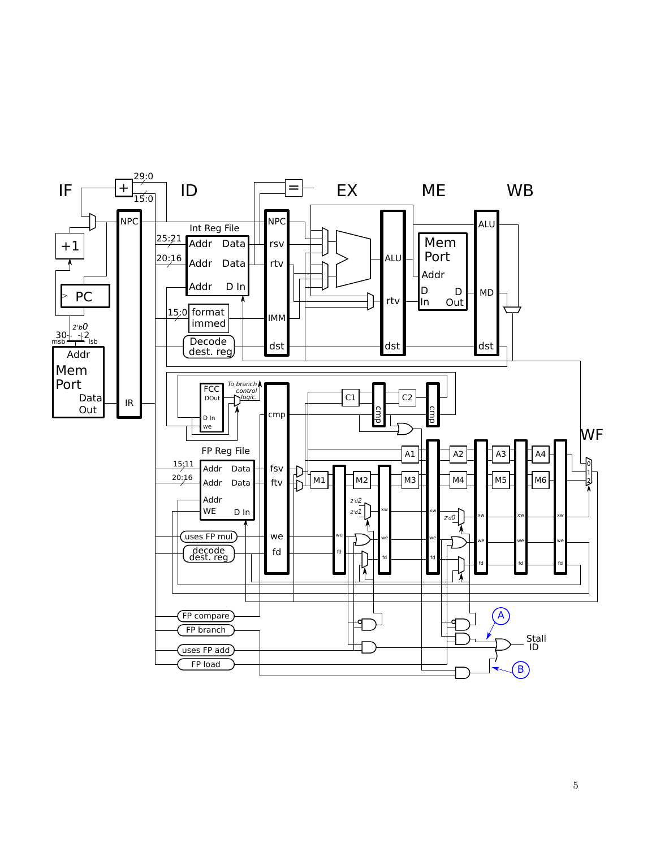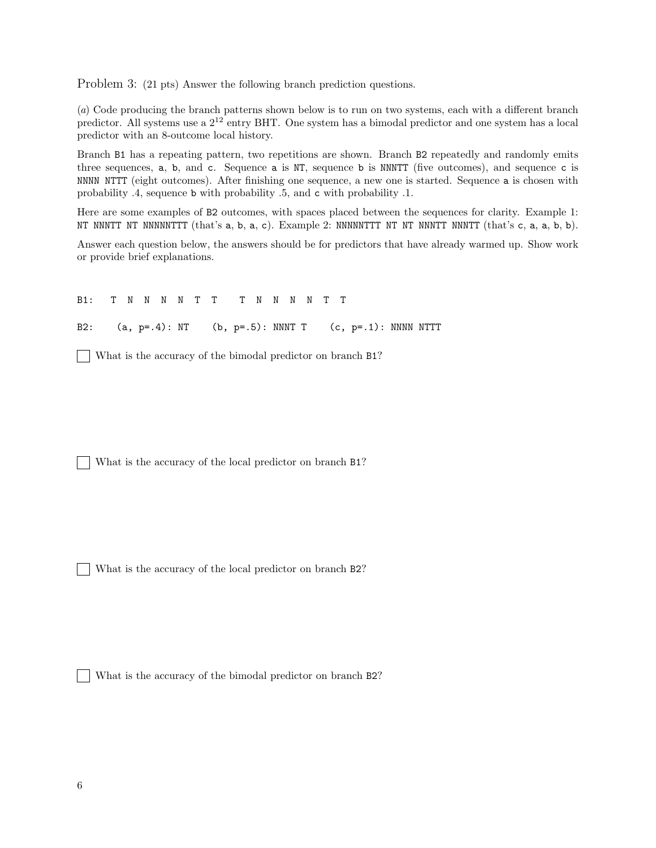Problem 3: (21 pts) Answer the following branch prediction questions.

(a) Code producing the branch patterns shown below is to run on two systems, each with a different branch predictor. All systems use a  $2^{12}$  entry BHT. One system has a bimodal predictor and one system has a local predictor with an 8-outcome local history.

Branch B1 has a repeating pattern, two repetitions are shown. Branch B2 repeatedly and randomly emits three sequences,  $a$ ,  $b$ , and  $c$ . Sequence  $a$  is NT, sequence  $b$  is NNNTT (five outcomes), and sequence  $c$  is NNNN NTTT (eight outcomes). After finishing one sequence, a new one is started. Sequence a is chosen with probability .4, sequence b with probability .5, and c with probability .1.

Here are some examples of B2 outcomes, with spaces placed between the sequences for clarity. Example 1: NT NNNTT NT NNNNNTTT (that's a, b, a, c). Example 2: NNNNNTTT NT NT NNNTT NNNTT (that's c, a, a, b, b).

Answer each question below, the answers should be for predictors that have already warmed up. Show work or provide brief explanations.

B1: T N N N N T T T N N N N T T B2:  $(a, p=.4)$ : NT  $(b, p=.5)$ : NNNT T  $(c, p=.1)$ : NNNN NTTT

What is the accuracy of the bimodal predictor on branch B1?

What is the accuracy of the local predictor on branch B1?

What is the accuracy of the local predictor on branch B2?

What is the accuracy of the bimodal predictor on branch B2?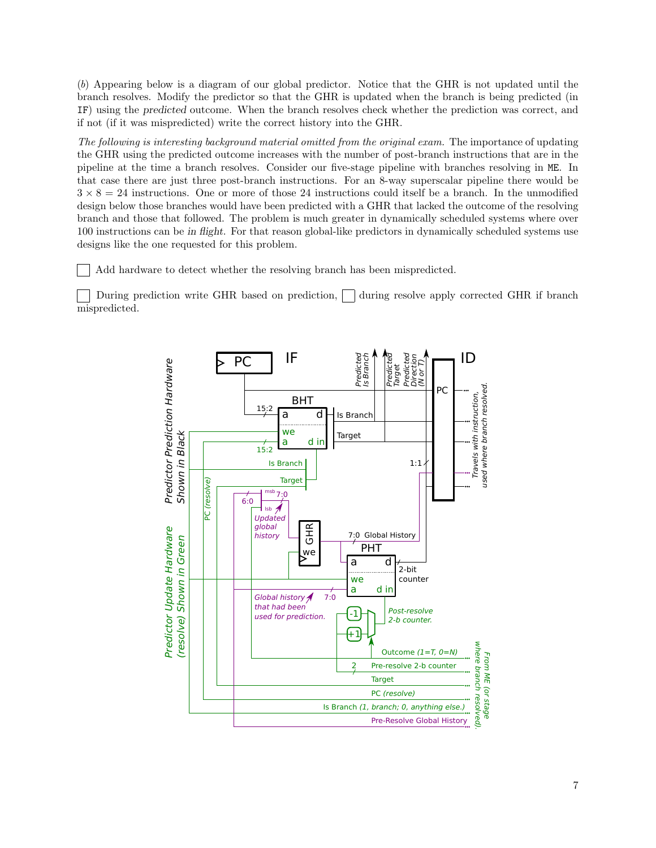(b) Appearing below is a diagram of our global predictor. Notice that the GHR is not updated until the branch resolves. Modify the predictor so that the GHR is updated when the branch is being predicted (in IF) using the predicted outcome. When the branch resolves check whether the prediction was correct, and if not (if it was mispredicted) write the correct history into the GHR.

The following is interesting background material omitted from the original exam. The importance of updating the GHR using the predicted outcome increases with the number of post-branch instructions that are in the pipeline at the time a branch resolves. Consider our five-stage pipeline with branches resolving in ME. In that case there are just three post-branch instructions. For an 8-way superscalar pipeline there would be  $3 \times 8 = 24$  instructions. One or more of those 24 instructions could itself be a branch. In the unmodified design below those branches would have been predicted with a GHR that lacked the outcome of the resolving branch and those that followed. The problem is much greater in dynamically scheduled systems where over 100 instructions can be in flight. For that reason global-like predictors in dynamically scheduled systems use designs like the one requested for this problem.

Add hardware to detect whether the resolving branch has been mispredicted.

During prediction write GHR based on prediction,  $\Box$  during resolve apply corrected GHR if branch mispredicted.

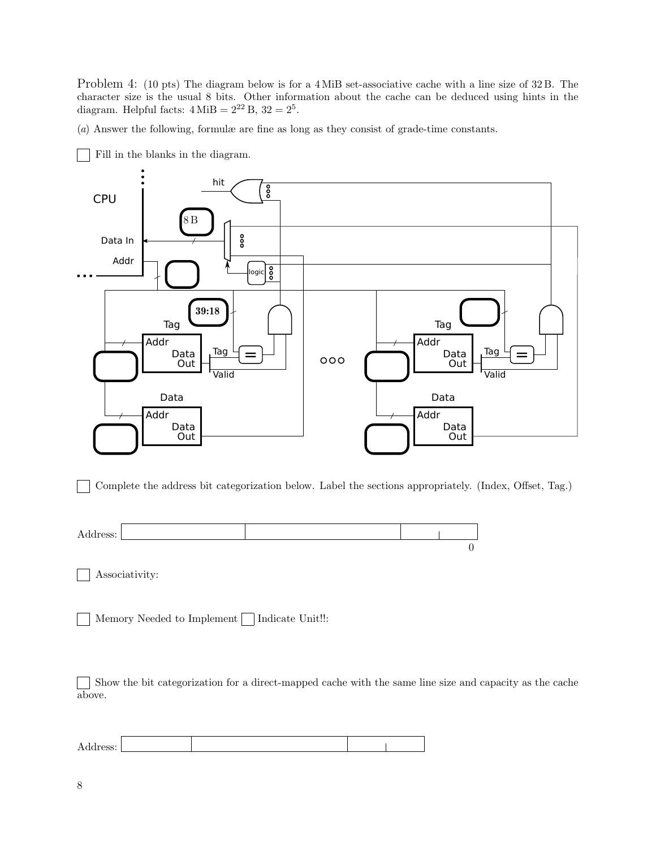Problem 4: (10 pts) The diagram below is for a 4 MiB set-associative cache with a line size of 32 B. The character size is the usual 8 bits. Other information about the cache can be deduced using hints in the diagram. Helpful facts:  $4 \text{ MiB} = 2^{22} \text{ B}$ ,  $32 = 2^5$ .

(a) Answer the following, formulæ are fine as long as they consist of grade-time constants.



Fill in the blanks in the diagram.

Complete the address bit categorization below. Label the sections appropriately. (Index, Offset, Tag.)



Associativity:

Memory Needed to Implement  $\Box$  Indicate Unit!!:

Show the bit categorization for a direct-mapped cache with the same line size and capacity as the cache  $\mathcal{L}$ above.

| л<br>-<br>uop.<br>$\overline{\phantom{a}}$ |  |  |
|--------------------------------------------|--|--|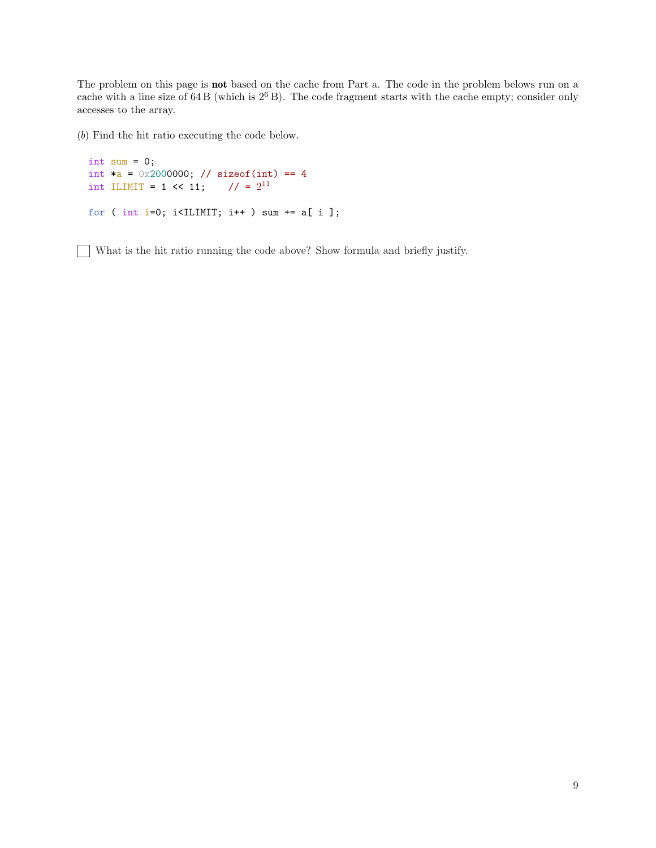The problem on this page is not based on the cache from Part a. The code in the problem belows run on a cache with a line size of 64 B (which is 2<sup>6</sup> B). The code fragment starts with the cache empty; consider only accesses to the array.

(b) Find the hit ratio executing the code below.

```
int sum = 0;
int *a = 0x2000000; // sizeof(int) == 4
int ILIMIT = 1 << 11; // = 2^{11}for ( int i=0; i<ILIMIT; i++ ) sum += a[i];
```
What is the hit ratio running the code above? Show formula and briefly justify.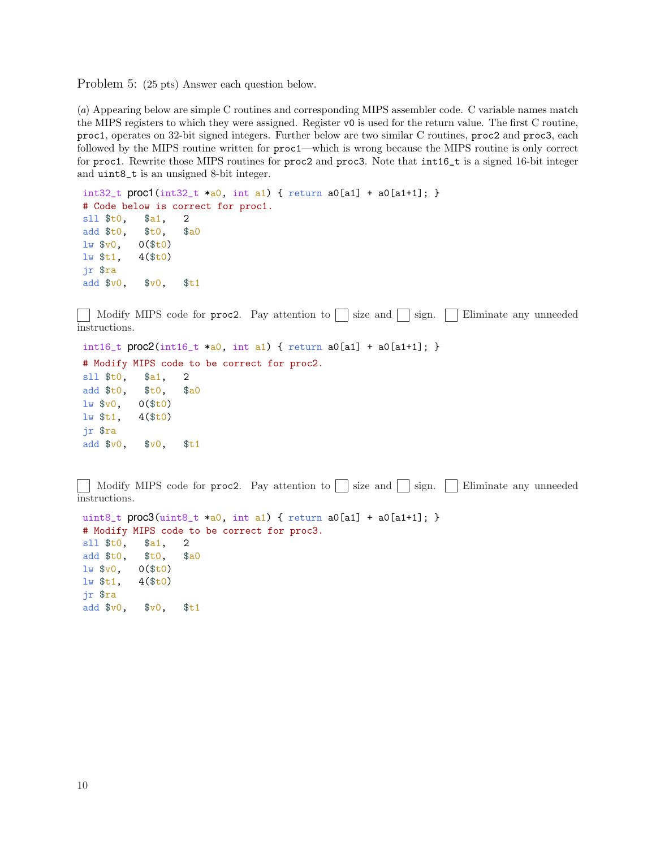Problem 5: (25 pts) Answer each question below.

(a) Appearing below are simple C routines and corresponding MIPS assembler code. C variable names match the MIPS registers to which they were assigned. Register v0 is used for the return value. The first C routine, proc1, operates on 32-bit signed integers. Further below are two similar C routines, proc2 and proc3, each followed by the MIPS routine written for proc1—which is wrong because the MIPS routine is only correct for proc1. Rewrite those MIPS routines for proc2 and proc3. Note that int16\_t is a signed 16-bit integer and uint8\_t is an unsigned 8-bit integer.

```
int32_t proc1(int32_t *a0, int a1) { return a0[a1] + a0[a1+1]; }
# Code below is correct for proc1.
sll $t0, $a1, 2
add $t0, $t0, $a0
lw $v0, 0 ($t0)lw $t1, 4($t0)
jr $ra
add $v0, $v0, $t1
```
Modify MIPS code for proc2. Pay attention to  $\Box$  size and  $\Box$  sign.  $\Box$  Eliminate any unneeded instructions.

```
int16_t proc2(int16_t *a0, int a1) { return a0[a1] + a0[a1+1]; }
```
# Modify MIPS code to be correct for proc2. sll \$t0, \$a1, 2 add \$t0, \$t0, \$a0  $lw$   $$v0,$   $0 ($t0)$ lw \$t1, 4(\$t0) jr \$ra add \$v0, \$v0, \$t1

Modify MIPS code for proc2. Pay attention to size and sign. Eliminate any unneeded instructions.

```
uint8_t proc3(uint8_t *a0, int a1) { return a0[a1] + a0[a1+1]; }
# Modify MIPS code to be correct for proc3.
sll $t0, $a1, 2
add $t0, $t0, $a0
lw $v0, 0 ($t0)lw $t1, 4($t0)
jr $ra
add $v0, $v0, $t1
```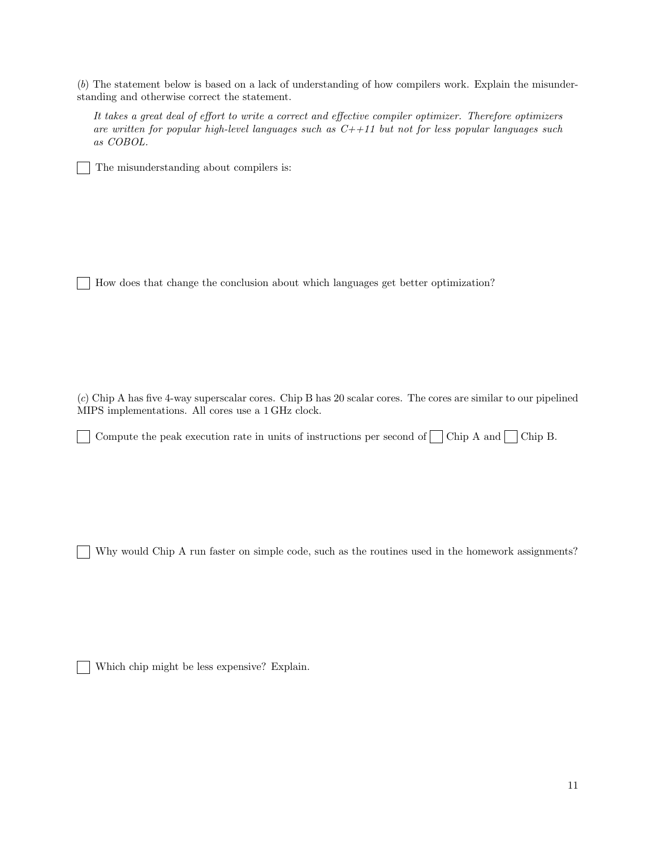(b) The statement below is based on a lack of understanding of how compilers work. Explain the misunderstanding and otherwise correct the statement.

It takes a great deal of effort to write a correct and effective compiler optimizer. Therefore optimizers are written for popular high-level languages such as  $C++11$  but not for less popular languages such as COBOL.

The misunderstanding about compilers is:

How does that change the conclusion about which languages get better optimization?

(c) Chip A has five 4-way superscalar cores. Chip B has 20 scalar cores. The cores are similar to our pipelined MIPS implementations. All cores use a 1 GHz clock.

Compute the peak execution rate in units of instructions per second of  $\Box$  Chip A and  $\Box$  Chip B.  $\blacksquare$ 

Why would Chip A run faster on simple code, such as the routines used in the homework assignments?

|  |  |  |  |  | Which chip might be less expensive? Explain. |  |
|--|--|--|--|--|----------------------------------------------|--|
|--|--|--|--|--|----------------------------------------------|--|

 $\Box$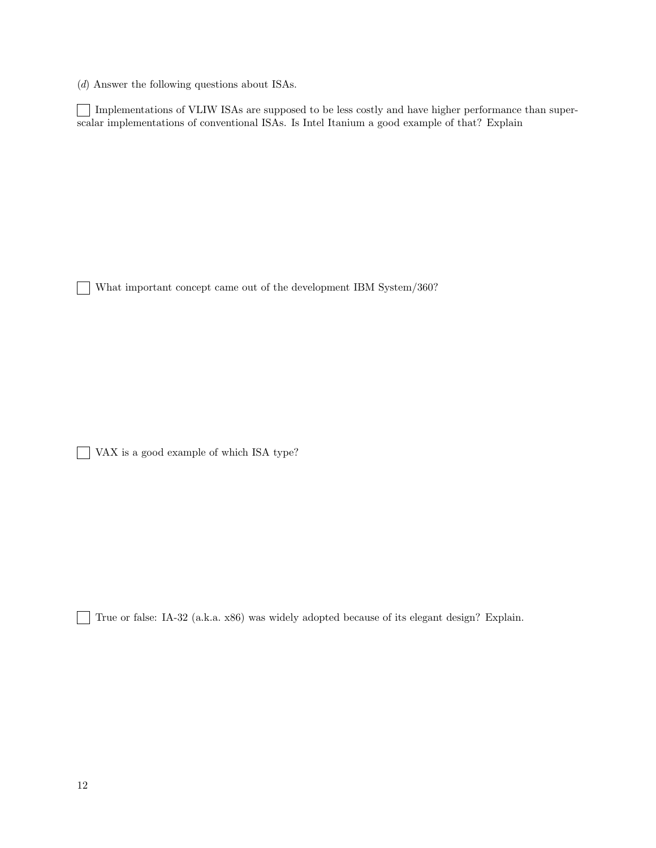(d) Answer the following questions about ISAs.

Implementations of VLIW ISAs are supposed to be less costly and have higher performance than superscalar implementations of conventional ISAs. Is Intel Itanium a good example of that? Explain

What important concept came out of the development IBM System/360?

VAX is a good example of which ISA type?

True or false: IA-32 (a.k.a. x86) was widely adopted because of its elegant design? Explain.  $\mathbb{R}$ 

 $\mathsf{l}$